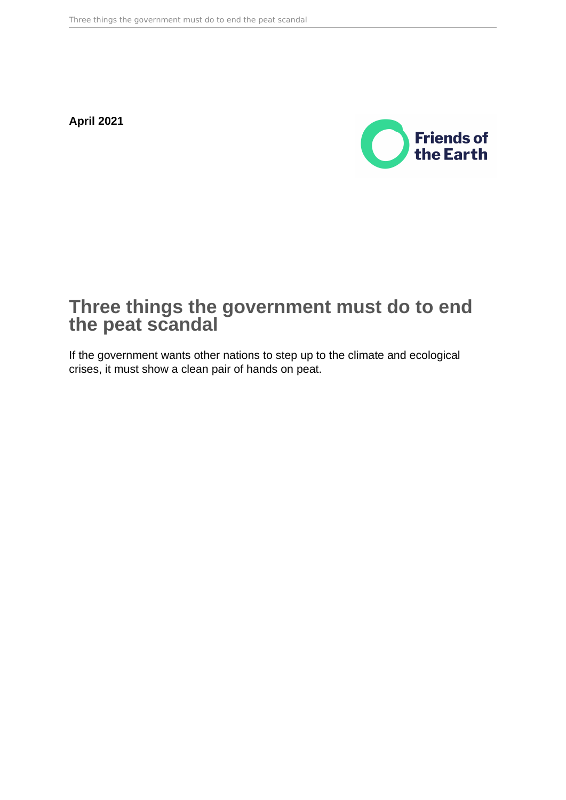**April 2021**



## **Three things the government must do to end the peat scandal**

If the government wants other nations to step up to the climate and ecological crises, it must show a clean pair of hands on peat.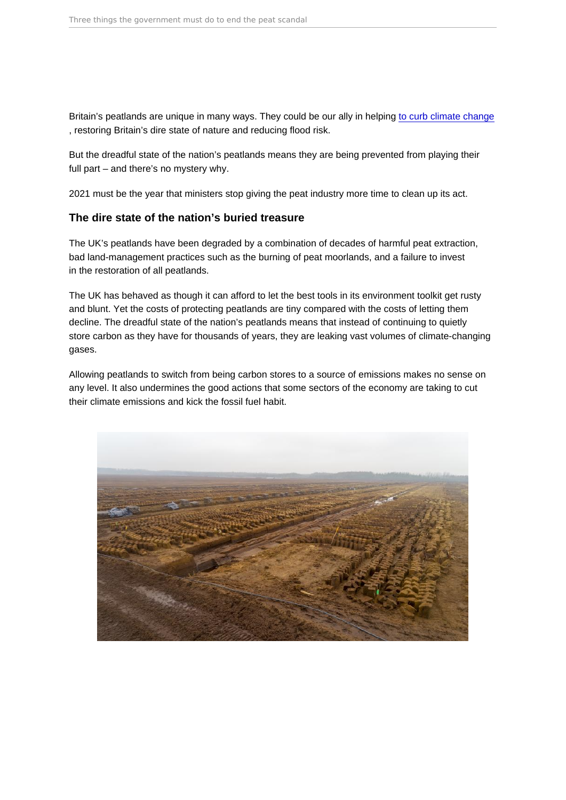Britain's peatlands are unique in many ways. They could be our ally in helping [to curb climate change](https://friendsoftheearth.uk/climate/why-peat-good-climate-and-nature-guide) , restoring Britain's dire state of nature and reducing flood risk.

But the dreadful state of the nation's peatlands means they are being prevented from playing their full part – and there's no mystery why.

2021 must be the year that ministers stop giving the peat industry more time to clean up its act.

## The dire state of the nation's buried treasure

The UK's peatlands have been degraded by a combination of decades of harmful peat extraction, bad land-management practices such as the burning of peat moorlands, and a failure to invest in the restoration of all peatlands.

The UK has behaved as though it can afford to let the best tools in its environment toolkit get rusty and blunt. Yet the costs of protecting peatlands are tiny compared with the costs of letting them decline. The dreadful state of the nation's peatlands means that instead of continuing to quietly store carbon as they have for thousands of years, they are leaking vast volumes of climate-changing gases.

Allowing peatlands to switch from being carbon stores to a source of emissions makes no sense on any level. It also undermines the good actions that some sectors of the economy are taking to cut their climate emissions and kick the fossil fuel habit.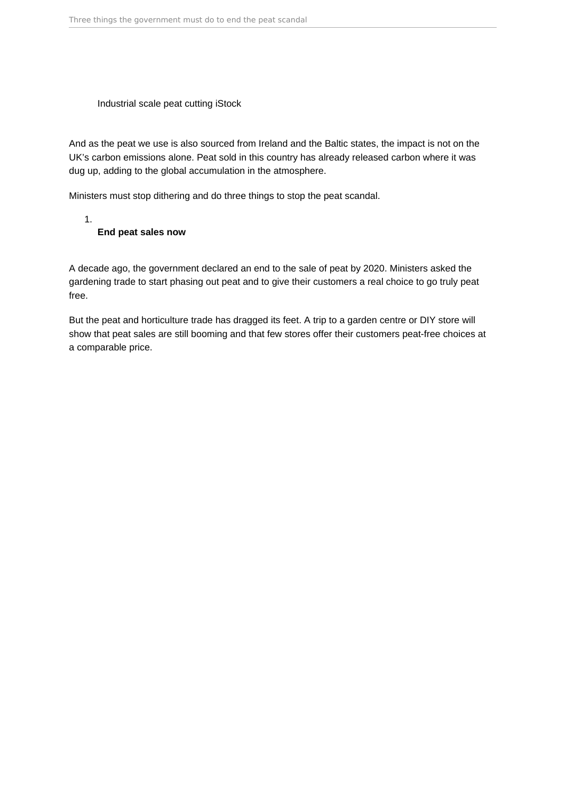Industrial scale peat cutting iStock

And as the peat we use is also sourced from Ireland and the Baltic states, the impact is not on the UK's carbon emissions alone. Peat sold in this country has already released carbon where it was dug up, adding to the global accumulation in the atmosphere.

Ministers must stop dithering and do three things to stop the peat scandal.

1.

## **End peat sales now**

A decade ago, the government declared an end to the sale of peat by 2020. Ministers asked the gardening trade to start phasing out peat and to give their customers a real choice to go truly peat free.

But the peat and horticulture trade has dragged its feet. A trip to a garden centre or DIY store will show that peat sales are still booming and that few stores offer their customers peat-free choices at a comparable price.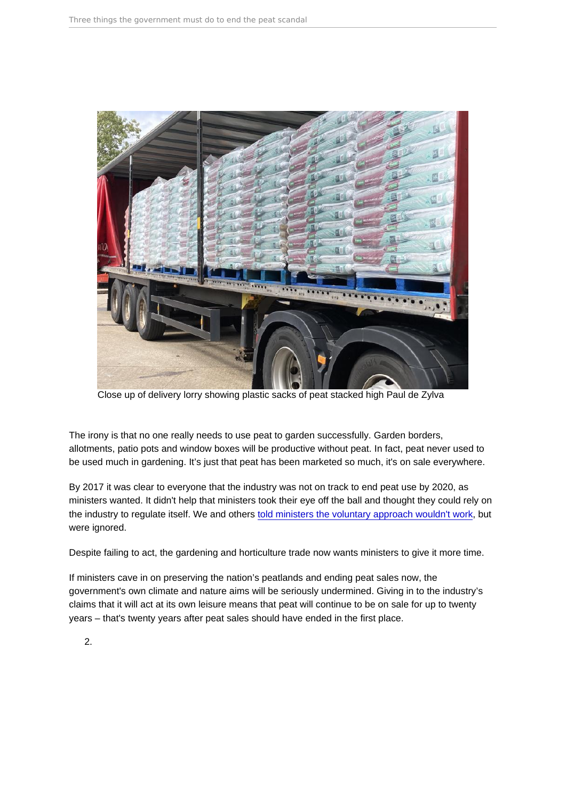Close up of delivery lorry showing plastic sacks of peat stacked high Paul de Zylva

The irony is that no one really needs to use peat to garden successfully. Garden borders, allotments, patio pots and window boxes will be productive without peat. In fact, peat never used to be used much in gardening. It's just that peat has been marketed so much, it's on sale everywhere.

By 2017 it was clear to everyone that the industry was not on track to end peat use by 2020, as ministers wanted. It didn't help that ministers took their eye off the ball and thought they could rely on the industry to regulate itself. We and others [told ministers the voluntary approach wouldn't work,](https://friendsoftheearth.uk/nature/governments-2020-peatfree-target-way-track) but were ignored.

Despite failing to act, the gardening and horticulture trade now wants ministers to give it more time.

If ministers cave in on preserving the nation's peatlands and ending peat sales now, the government's own climate and nature aims will be seriously undermined. Giving in to the industry's claims that it will act at its own leisure means that peat will continue to be on sale for up to twenty years – that's twenty years after peat sales should have ended in the first place.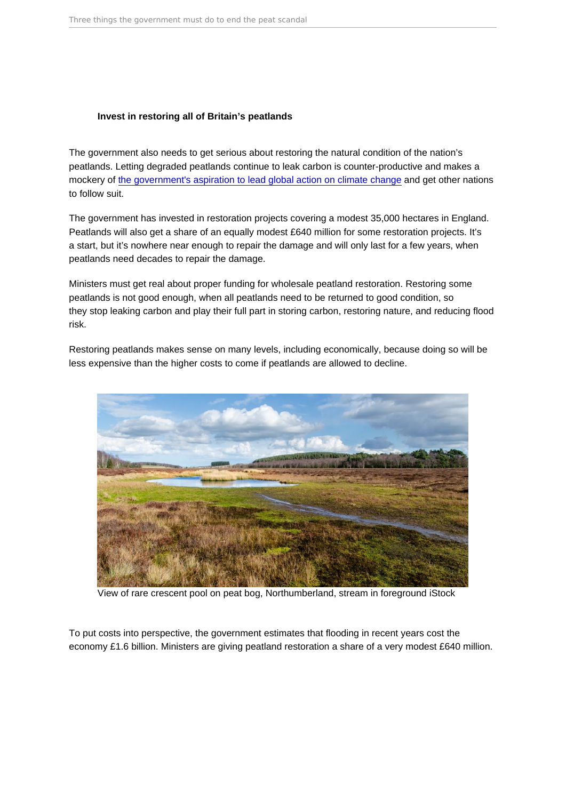## Invest in restoring all of Britain's peatlands

The government also needs to get serious about restoring the natural condition of the nation's peatlands. Letting degraded peatlands continue to leak carbon is counter-productive and makes a mockery of [the government's aspiration to lead global action on climate change](https://friendsoftheearth.uk/climate/uk-toughen-climate-targets-friends-earth-reaction) and get other nations to follow suit.

The government has invested in restoration projects covering a modest 35,000 hectares in England. Peatlands will also get a share of an equally modest £640 million for some restoration projects. It's a start, but it's nowhere near enough to repair the damage and will only last for a few years, when peatlands need decades to repair the damage.

Ministers must get real about proper funding for wholesale peatland restoration. Restoring some peatlands is not good enough, when all peatlands need to be returned to good condition, so they stop leaking carbon and play their full part in storing carbon, restoring nature, and reducing flood risk.

Restoring peatlands makes sense on many levels, including economically, because doing so will be less expensive than the higher costs to come if peatlands are allowed to decline.

View of rare crescent pool on peat bog, Northumberland, stream in foreground iStock

To put costs into perspective, the government estimates that flooding in recent years cost the economy £1.6 billion. Ministers are giving peatland restoration a share of a very modest £640 million.